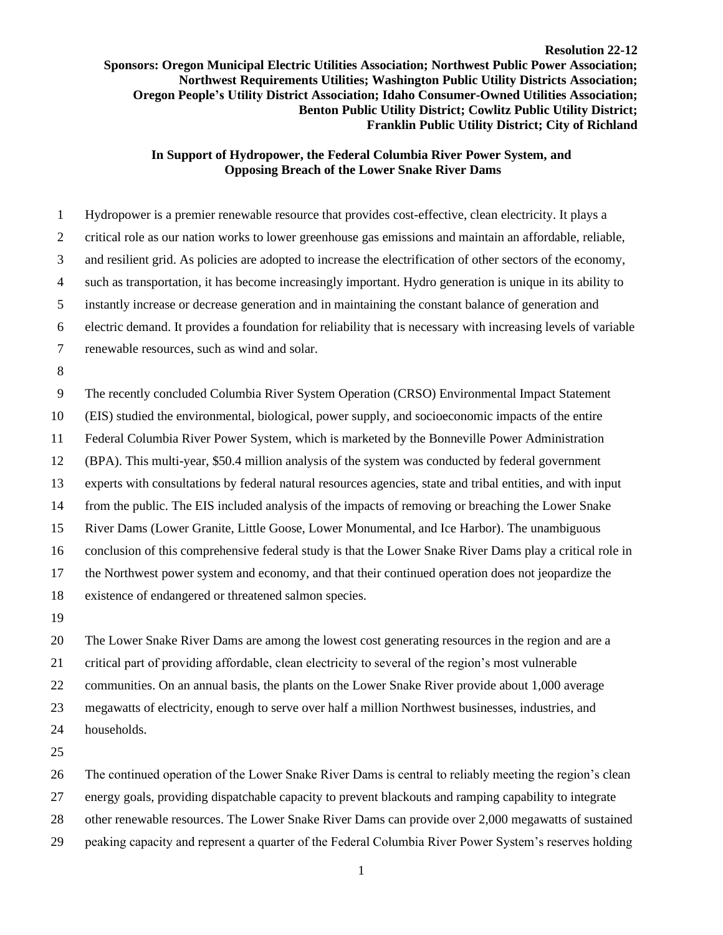## **Resolution 22-12 Sponsors: Oregon Municipal Electric Utilities Association; Northwest Public Power Association; Northwest Requirements Utilities; Washington Public Utility Districts Association; Oregon People's Utility District Association; Idaho Consumer-Owned Utilities Association; Benton Public Utility District; Cowlitz Public Utility District; Franklin Public Utility District; City of Richland**

## **In Support of Hydropower, the Federal Columbia River Power System, and Opposing Breach of the Lower Snake River Dams**

 Hydropower is a premier renewable resource that provides cost-effective, clean electricity. It plays a critical role as our nation works to lower greenhouse gas emissions and maintain an affordable, reliable, and resilient grid. As policies are adopted to increase the electrification of other sectors of the economy, such as transportation, it has become increasingly important. Hydro generation is unique in its ability to instantly increase or decrease generation and in maintaining the constant balance of generation and electric demand. It provides a foundation for reliability that is necessary with increasing levels of variable renewable resources, such as wind and solar. The recently concluded Columbia River System Operation (CRSO) Environmental Impact Statement (EIS) studied the environmental, biological, power supply, and socioeconomic impacts of the entire Federal Columbia River Power System, which is marketed by the Bonneville Power Administration (BPA). This multi-year, \$50.4 million analysis of the system was conducted by federal government experts with consultations by federal natural resources agencies, state and tribal entities, and with input from the public. The EIS included analysis of the impacts of removing or breaching the Lower Snake River Dams (Lower Granite, Little Goose, Lower Monumental, and Ice Harbor). The unambiguous conclusion of this comprehensive federal study is that the Lower Snake River Dams play a critical role in the Northwest power system and economy, and that their continued operation does not jeopardize the existence of endangered or threatened salmon species. 

 The Lower Snake River Dams are among the lowest cost generating resources in the region and are a critical part of providing affordable, clean electricity to several of the region's most vulnerable communities. On an annual basis, the plants on the Lower Snake River provide about 1,000 average megawatts of electricity, enough to serve over half a million Northwest businesses, industries, and households.

The continued operation of the Lower Snake River Dams is central to reliably meeting the region's clean

energy goals, providing dispatchable capacity to prevent blackouts and ramping capability to integrate

other renewable resources. The Lower Snake River Dams can provide over 2,000 megawatts of sustained

peaking capacity and represent a quarter of the Federal Columbia River Power System's reserves holding